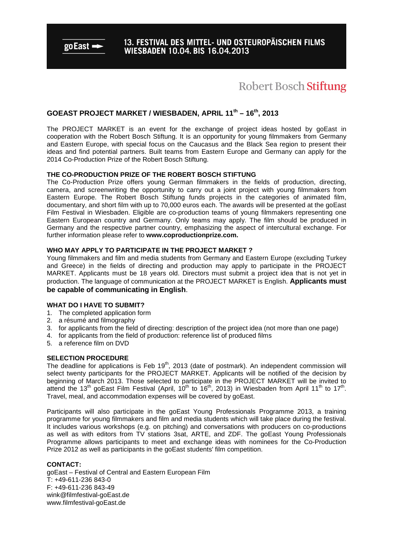$\boldsymbol{\mathsf{go}}$  East  $\blacksquare$ 

### **Robert Bosch Stiftung**

### **GOEAST PROJECT MARKET / WIESBADEN, APRIL 11th – 16th, 2013**

The PROJECT MARKET is an event for the exchange of project ideas hosted by goEast in cooperation with the Robert Bosch Stiftung. It is an opportunity for young filmmakers from Germany and Eastern Europe, with special focus on the Caucasus and the Black Sea region to present their ideas and find potential partners. Built teams from Eastern Europe and Germany can apply for the 2014 Co-Production Prize of the Robert Bosch Stiftung.

### **THE CO-PRODUCTION PRIZE OF THE ROBERT BOSCH STIFTUNG**

The Co-Production Prize offers young German filmmakers in the fields of production, directing, camera, and screenwriting the opportunity to carry out a joint project with young filmmakers from Eastern Europe. The Robert Bosch Stiftung funds projects in the categories of animated film, documentary, and short film with up to 70,000 euros each. The awards will be presented at the goEast Film Festival in Wiesbaden. Eligible are co-production teams of young filmmakers representing one Eastern European country and Germany. Only teams may apply. The film should be produced in Germany and the respective partner country, emphasizing the aspect of intercultural exchange. For further information please refer to **www.coproductionprize.com.** 

### **WHO MAY APPLY TO PARTICIPATE IN THE PROJECT MARKET ?**

Young filmmakers and film and media students from Germany and Eastern Europe (excluding Turkey and Greece) in the fields of directing and production may apply to participate in the PROJECT MARKET. Applicants must be 18 years old. Directors must submit a project idea that is not yet in production. The language of communication at the PROJECT MARKET is English. **Applicants must be capable of communicating in English**.

### **WHAT DO I HAVE TO SUBMIT?**

- 1. The completed application form
- 2. a résumé and filmography
- 3. for applicants from the field of directing: description of the project idea (not more than one page)
- 4. for applicants from the field of production: reference list of produced films
- 5. a reference film on DVD

### **SELECTION PROCEDURE**

The deadline for applications is Feb 19<sup>th</sup>, 2013 (date of postmark). An independent commission will select twenty participants for the PROJECT MARKET. Applicants will be notified of the decision by beginning of March 2013. Those selected to participate in the PROJECT MARKET will be invited to attend the 13<sup>th</sup> goEast Film Festival (April, 10<sup>th</sup> to 16<sup>th</sup>, 2013) in Wiesbaden from April 11<sup>th</sup> to 17<sup>th</sup>. Travel, meal, and accommodation expenses will be covered by goEast.

Participants will also participate in the goEast Young Professionals Programme 2013, a training programme for young filmmakers and film and media students which will take place during the festival. It includes various workshops (e.g. on pitching) and conversations with producers on co-productions as well as with editors from TV stations 3sat, ARTE, and ZDF. The goEast Young Professionals Programme allows participants to meet and exchange ideas with nominees for the Co-Production Prize 2012 as well as participants in the goEast students' film competition.

### **CONTACT:**

goEast – Festival of Central and Eastern European Film T: +49-611-236 843-0 F: +49-611-236 843-49 wink@filmfestival-goEast.de www.filmfestival-goEast.de